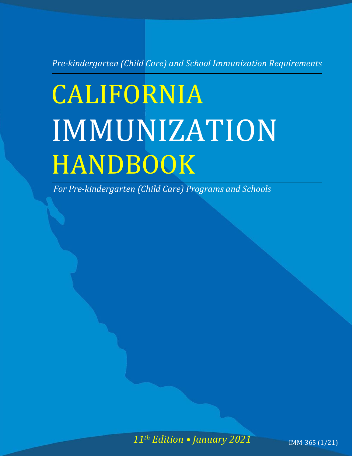*Pre-kindergarten (Child Care) and School Immunization Requirements*

# **CALIFORNIA** IMMUNIZATION HANDBOOK

*For Pre-kindergarten (Child Care) Programs and Schools*

*11th Edition • January 2021* IMM-365 (1/21)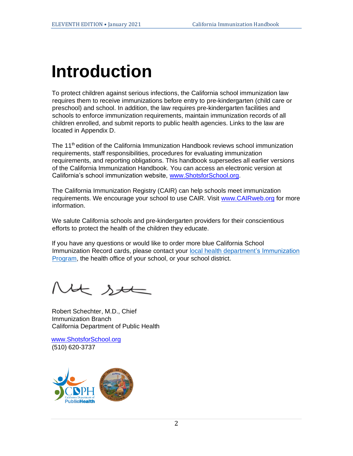## **Introduction**

To protect children against serious infections, the California school immunization law requires them to receive immunizations before entry to pre-kindergarten (child care or preschool) and school. In addition, the law requires pre-kindergarten facilities and schools to enforce immunization requirements, maintain immunization records of all children enrolled, and submit reports to public health agencies. Links to the law are located in Appendix D.

The 11<sup>th</sup> edition of the California Immunization Handbook reviews school immunization requirements, staff responsibilities, procedures for evaluating immunization requirements, and reporting obligations. This handbook supersedes all earlier versions of the California Immunization Handbook. You can access an electronic version at California's school immunization website, [www.ShotsforSchool.org.](http://www.shotsforschool.org/) 

The California Immunization Registry (CAIR) can help schools meet immunization requirements. We encourage your school to use CAIR. Visit [www.CAIRweb.org](http://cairweb.org/) [f](http://cairweb.org/)or more information.

We salute California schools and pre-kindergarten providers for their conscientious efforts to protect the health of the children they educate.

If you have any questions or would like to order more blue California School Immunization Record cards, please contact your [local health department's Immunization](https://www.cdph.ca.gov/Programs/CID/DCDC/Pages/Immunization/Local-Health-Department.aspx)  [Program,](https://www.cdph.ca.gov/Programs/CID/DCDC/Pages/Immunization/Local-Health-Department.aspx) the health office of your school, or your school district.

H st Í

Robert Schechter, M.D., Chief Immunization Branch California Department of Public Health

[www.ShotsforSchool.org](http://www.shotsforschool.org/)  (510) 620-3737

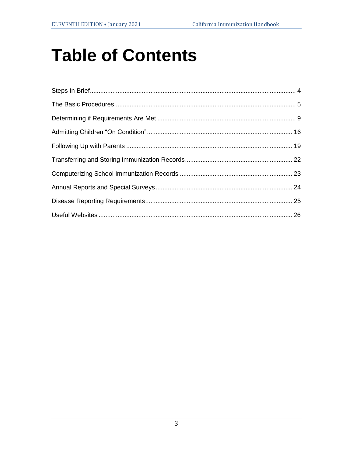## **Table of Contents**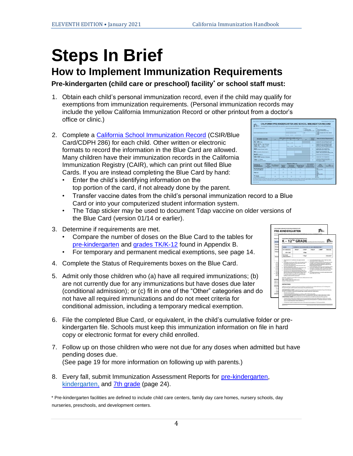## **Steps In Brief**

#### **How to Implement Immunization Requirements**

**Pre-kindergarten (child care or preschool) facility\* or school staff must:**

- 1. Obtain each child's personal immunization record, even if the child may qualify for exemptions from immunization requirements. (Personal immunization records may include the yellow California Immunization Record or other printout from a doctor's office or clinic.)
- 2. Complete a [California School Immunization Record](https://eziz.org/assets/docs/shotsforschool/CDPH-286.pdf) (CSIR/Blue Card/CDPH 286) for each child. Other written or electronic formats to record the information in the Blue Card are allowed. Many children have their immunization records in the California Immunization Registry (CAIR), which can print out filled Blue Cards. If you are instead completing the Blue Card by hand:
	- Enter the child's identifying information on the top portion of the card, if not already done by the parent.
	- Transfer vaccine dates from the child's personal immunization record to a Blue Card or into your computerized student information system.
	- The Tdap sticker may be used to document Tdap vaccine on older versions of the Blue Card (version 01/14 or earlier).
- 3. Determine if requirements are met.
	- Compare the number of doses on the Blue Card to the tables for [pre-kindergarten](http://eziz.org/assets/docs/IMM-230.pdf) and [grades TK/K-12](http://eziz.org/assets/docs/IMM-231.pdf) found in Appendix B.
	- For temporary and permanent medical exemptions, see page 14.
- 4. Complete the Status of Requirements boxes on the Blue Card.
- 5. Admit only those children who (a) have all required immunizations; (b) are not currently due for any immunizations but have doses due later (conditional admission); or (c) fit in one of the "Other" categories and do not have all required immunizations and do not meet criteria for conditional admission, including a temporary medical exemption.
- 6. File the completed Blue Card, or equivalent, in the child's cumulative folder or prekindergarten file. Schools must keep this immunization information on file in hard copy or electronic format for every child enrolled.
- 7. Follow up on those children who were not due for any doses when admitted but have pending doses due. (See page 19 for more information on following up with parents.)
- 8. Every fall, submit Immunization Assessment Reports for [pre-kindergarten](http://reporting.shotsforschool.org/CC/login.aspx)[,](http://www.calkidshots.org/cca/login.aspx) [kindergarten,](http://reporting.shotsforschool.org/KG/login.aspx) and [7th grade](http://reporting.shotsforschool.org/7th/login.aspx) (page 24).

\* Pre-kindergarten facilities are defined to include child care centers, family day care homes, nursery schools, day nurseries, preschools, and development centers.



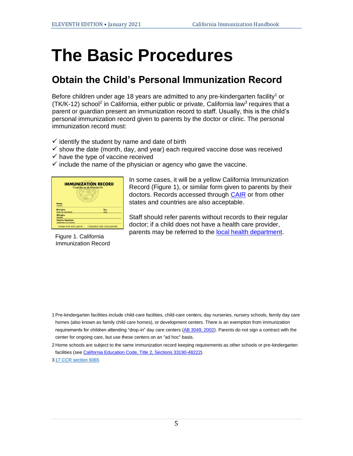## **The Basic Procedures**

#### **Obtain the Child's Personal Immunization Record**

Before children under age 18 years are admitted to any pre-kindergarten facility<sup>1</sup> or (TK/K-12) school<sup>2</sup> in California, either public or private, California law<sup>3</sup> requires that a parent or guardian present an immunization record to staff. Usually, this is the child's personal immunization record given to parents by the doctor or clinic. The personal immunization record must:

- $\checkmark$  identify the student by name and date of birth
- $\checkmark$  show the date (month, day, and year) each required vaccine dose was received
- $\checkmark$  have the type of vaccine received
- $\checkmark$  include the name of the physician or agency who gave the vaccine.

| <b>IMMUNIZATION RECORD</b><br>Comprobante de Inmunización |             |  |  |  |  |
|-----------------------------------------------------------|-------------|--|--|--|--|
|                                                           |             |  |  |  |  |
| Name<br><b>Birthdate</b><br>fecha de nacimiento           | Sex<br>saxa |  |  |  |  |
| <b>Allergies</b><br>alorgias                              |             |  |  |  |  |

Figure 1. California Immunization Record

In some cases, it will be a yellow California Immunization Record (Figure 1), or similar form given to parents by their doctors. Records accessed through [CAIR](http://cairweb.org/) or from other states and countries are also acceptable.

Staff should refer parents without records to their regular doctor; if a child does not have a health care provider, parents may be referred to th[e](http://www.cdph.ca.gov/programs/immunize/Pages/CaliforniaLocalHealthDepartments.aspx) [local health](https://www.cdph.ca.gov/Programs/CID/DCDC/Pages/Immunization/Local-Health-Department.aspx) [department](https://www.cdph.ca.gov/Programs/CID/DCDC/Pages/Immunization/Local-Health-Department.aspx)[.](http://www.cdph.ca.gov/programs/immunize/Pages/CaliforniaLocalHealthDepartments.aspx)

1 Pre-kindergarten facilities include child-care facilities, child-care centers, day nurseries, nursery schools, family day care homes (also known as family child care homes), or development centers. There is an exemption from immunization requirements for children attending "drop-in" day care centers [\(](http://www.leginfo.ca.gov/pub/01-02/bill/asm/ab_3001-3050/ab_3049_bill_20020915_chaptered.html)[AB 3049, 2002](http://leginfo.legislature.ca.gov/faces/billNavClient.xhtml?bill_id=200120020AB3049)[\).](http://www.leginfo.ca.gov/pub/01-02/bill/asm/ab_3001-3050/ab_3049_bill_20020915_chaptered.html) Parents do not sign a contract with the center for ongoing care, but use these centers on an "ad hoc" basis.

2 Home schools are subject to the same immunization record keeping requirements as other schools or pre-kindergarten facilities (se[e California Education Code, Title 2,](http://www.cde.ca.gov/sp/ps/rq/psaffedcode.asp) [Sections 33190-48222\).](http://www.cde.ca.gov/sp/ps/rq/psaffedcode.asp) 3 [17 CCR section 6065](http://eziz.org/assets/docs/IMM-1080.pdf)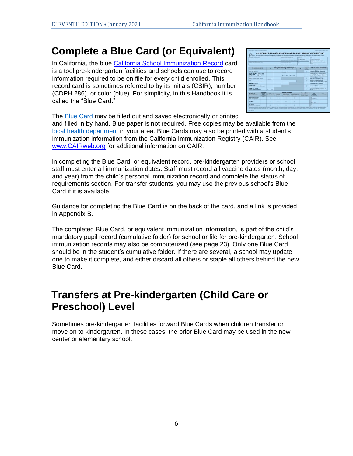### **Complete a Blue Card (or Equivalent)**

In California, the blue [California School Immunization Record](http://eziz.org/assets/docs/shotsforschool/CDPH-286.pdf) card is a tool pre-kindergarten facilities and schools can use to record information required to be on file for every child enrolled. This record card is sometimes referred to by its initials (CSIR), number (CDPH 286), or color (blue). For simplicity, in this Handbook it is called the "Blue Card."



The [Blue Card](http://eziz.org/assets/docs/shotsforschool/CDPH-286.pdf) may be filled out and saved electronically or printed and filled in by hand. Blue paper is not required. Free copies may be available from the [local health department](https://www.cdph.ca.gov/Programs/CID/DCDC/Pages/Immunization/Local-Health-Department.aspx) in your area. Blue Cards may also be printed with a student's immunization information from the California Immunization Registry (CAIR). See [www.CAIRweb.org](http://cairweb.org/) for additional information on CAIR.

In completing the Blue Card, or equivalent record, pre-kindergarten providers or school staff must enter all immunization dates. Staff must record all vaccine dates (month, day, and year) from the child's personal immunization record and complete the status of requirements section. For transfer students, you may use the previous school's Blue Card if it is available.

Guidance for completing the Blue Card is on the back of the card, and a link is provided in Appendix B.

The completed Blue Card, or equivalent immunization information, is part of the child's mandatory pupil record (cumulative folder) for school or file for pre-kindergarten. School immunization records may also be computerized (see page 23). Only one Blue Card should be in the student's cumulative folder. If there are several, a school may update one to make it complete, and either discard all others or staple all others behind the new Blue Card.

### **Transfers at Pre-kindergarten (Child Care or Preschool) Level**

Sometimes pre-kindergarten facilities forward Blue Cards when children transfer or move on to kindergarten. In these cases, the prior Blue Card may be used in the new center or elementary school.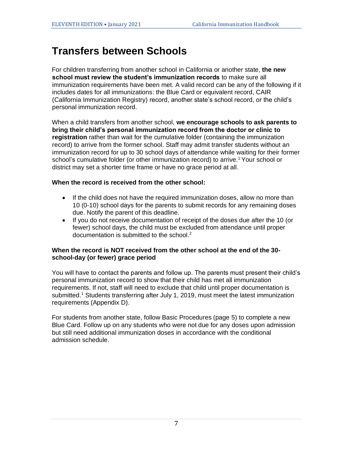### **Transfers between Schools**

For children transferring from another school in California or another state, **the new school must review the student's immunization records** to make sure all immunization requirements have been met. A valid record can be any of the following if it includes dates for all immunizations: the Blue Card or equivalent record, CAIR (California Immunization Registry) record, another state's school record, or the child's personal immunization record.

When a child transfers from another school, **we encourage schools to ask parents to bring their child's personal immunization record from the doctor or clinic to registration** rather than wait for the cumulative folder (containing the immunization record) to arrive from the former school. Staff may admit transfer students without an immunization record for up to 30 school days of attendance while waiting for their former school's cumulative folder (or other immunization record) to arrive.<sup>1</sup> Your school or district may set a shorter time frame or have no grace period at all.

#### **When the record is received from the other school:**

- If the child does not have the required immunization doses, allow no more than 10 (0-10) school days for the parents to submit records for any remaining doses due. Notify the parent of this deadline.
- If you do not receive documentation of receipt of the doses due after the 10 (or fewer) school days, the child must be excluded from attendance until proper documentation is submitted to the school. 2

#### **When the record is NOT received from the other school at the end of the 30 school-day (or fewer) grace period**

You will have to contact the parents and follow up. The parents must present their child's personal immunization record to show that their child has met all immunization requirements. If not, staff will need to exclude that child until proper documentation is submitted.<sup>1</sup> Students transferring after July 1, 2019, must meet the latest immunization requirements (Appendix D).

For students from another state, follow Basic Procedures (page 5) to complete a new Blue Card. Follow up on any students who were not due for any doses upon admission but still need additional immunization doses in accordance with the conditional admission schedule.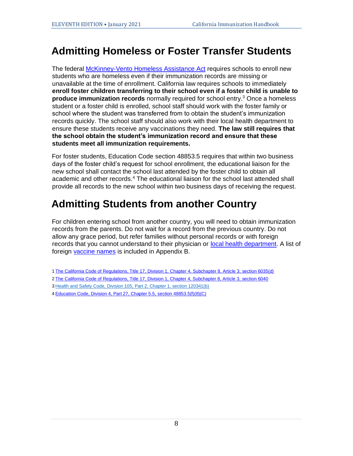### **Admitting Homeless or Foster Transfer Students**

The federal [McKinney-Vento Homeless Assistance Act](http://www2.ed.gov/policy/elsec/leg/esea02/pg116.html) requires schools to enroll new students who are homeless even if their immunization records are missing or unavailable at the time of enrollment. California law requires schools to immediately **enroll foster children transferring to their school even if a foster child is unable to produce immunization records** normally required for school entry.<sup>3</sup> Once a homeless student or a foster child is enrolled, school staff should work with the foster family or school where the student was transferred from to obtain the student's immunization records quickly. The school staff should also work with their local health department to ensure these students receive any vaccinations they need. **The law still requires that the school obtain the student's immunization record and ensure that these students meet all immunization requirements.**

For foster students, Education Code section 48853.5 requires that within two business days of the foster child's request for school enrollment, the educational liaison for the new school shall contact the school last attended by the foster child to obtain all academic and other records.<sup>4</sup> The educational liaison for the school last attended shall provide all records to the new school within two business days of receiving the request.

### **Admitting Students from another Country**

For children entering school from another country, you will need to obtain immunization records from the parents. Do not wait for a record from the previous country. Do not allow any grace period, but refer families without personal records or with foreign records that you cannot understand to their physician or [local health](https://www.cdph.ca.gov/Programs/CID/DCDC/Pages/Immunization/Local-Health-Department.aspx) [department](https://www.cdph.ca.gov/Programs/CID/DCDC/Pages/Immunization/Local-Health-Department.aspx)[.](http://www.cdph.ca.gov/programs/immunize/Pages/CaliforniaLocalHealthDepartments.aspx) A list of foreign [vaccine names](https://www.cdc.gov/vaccines/pubs/pinkbook/downloads/appendices/B/foreign-products-tables.pdf) is included in Appendix B.

- 1 [The California Code of Regulations, Title 17, Division 1,](https://govt.westlaw.com/calregs/Document/I29257AC0DF1B11E39640DB07F03D648A?viewType=FullText&originationContext=documenttoc&transitionType=CategoryPageItem&contextData=(sc.Default)) [Chapter 4, Subchapter 8, Article 3, section 6](http://eziz.org/assets/docs/IMM-1080.pdf)035(d[\)](https://govt.westlaw.com/calregs/Document/I29257AC0DF1B11E39640DB07F03D648A?viewType=FullText&originationContext=documenttoc&transitionType=CategoryPageItem&contextData=(sc.Default))
- 2 [The](https://govt.westlaw.com/calregs/Document/IF276DC30D60511DE88AEDDE29ED1DC0A?viewType=FullText&originationContext=documenttoc&transitionType=CategoryPageItem&contextData=(sc.Default)) [California Code of Regulations, Title 17, Division 1, Chapter 4, Subchapter 8, Article 3, section 6040](http://eziz.org/assets/docs/IMM-1080.pdf)
- 3 [Health and Safety Code, Division 105,](https://leginfo.legislature.ca.gov/faces/codes_displayText.xhtml?lawCode=HSC&division=105.&title=&part=2.&chapter=1.&article) Part 2, Chapter 1, section 120341(b[\)](https://leginfo.legislature.ca.gov/faces/codes_displayText.xhtml?lawCode=HSC&division=105.&title=&part=2.&chapter=1.&article)
- 4 [Education Code, Division 4, Part 27, Chapter 5.5, section 48853.5\(f\)\(8\)\(C\)](https://leginfo.legislature.ca.gov/faces/codes_displaySection.xhtml?lawCode=EDC§ionNum=48853.5.)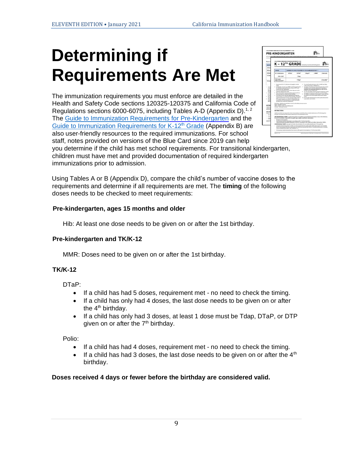## **Determining if Requirements Are Met**

The immunization requirements you must enforce are detailed in the Health and Safety Code sections 120325-120375 and California Code of Regulations sections 6000-6075, including Tables A-D (Appendix D).<sup>1, 2</sup> The Guide to [Immunization Requirements](http://eziz.org/assets/docs/IMM-230.pdf) for Pre-Kindergarte[n](http://eziz.org/assets/docs/IMM-230.pdf) and the [Guide to Immunization Requirements for K-12](http://eziz.org/assets/docs/IMM-231.pdf)<sup>th</sup> Grade (Appendix B) are also user-friendly resources to the required immunizations. For school staff, notes provided on versions of the Blue Card since 2019 can help



you determine if the child has met school requirements. For transitional kindergarten, children must have met and provided documentation of required kindergarten immunizations prior to admission.

Using Tables A or B (Appendix D), compare the child's number of vaccine doses to the requirements and determine if all requirements are met. The **timing** of the following doses needs to be checked to meet requirements:

#### **Pre-kindergarten, ages 15 months and older**

Hib: At least one dose needs to be given on or after the 1st birthday.

#### **Pre-kindergarten and TK/K-12**

MMR: Doses need to be given on or after the 1st birthday.

#### **TK/K-12**

DTaP:

- If a child has had 5 doses, requirement met no need to check the timing.
- If a child has only had 4 doses, the last dose needs to be given on or after the  $4<sup>th</sup>$  birthday.
- If a child has only had 3 doses, at least 1 dose must be Tdap, DTaP, or DTP given on or after the  $7<sup>th</sup>$  birthday.

Polio:

- If a child has had 4 doses, requirement met no need to check the timing.
- $\bullet$  If a child has had 3 doses, the last dose needs to be given on or after the  $4^{\text{th}}$ birthday.

#### **Doses received 4 days or fewer before the birthday are considered valid.**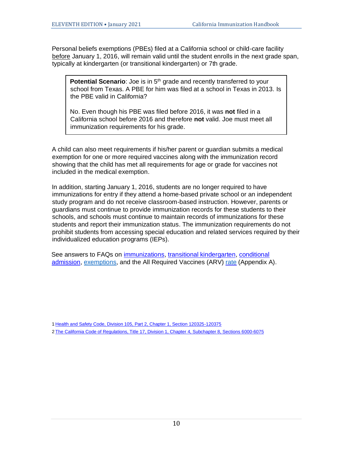Personal beliefs exemptions (PBEs) filed at a California school or child-care facility before January 1, 2016, will remain valid until the student enrolls in the next grade span, typically at kindergarten (or transitional kindergarten) or 7th grade.

**Potential Scenario**: Joe is in 5<sup>th</sup> grade and recently transferred to your school from Texas. A PBE for him was filed at a school in Texas in 2013. Is the PBE valid in California?

No. Even though his PBE was filed before 2016, it was **not** filed in a California school before 2016 and therefore **not** valid. Joe must meet all immunization requirements for his grade.

A child can also meet requirements if his/her parent or guardian submits a medical exemption for one or more required vaccines along with the immunization record showing that the child has met all requirements for age or grade for vaccines not included in the medical exemption.

In addition, starting January 1, 2016, students are no longer required to have immunizations for entry if they attend a home-based private school or an independent study program and do not receive classroom-based instruction. However, parents or guardians must continue to provide immunization records for these students to their schools, and schools must continue to maintain records of immunizations for these students and report their immunization status. The immunization requirements do not prohibit students from accessing special education and related services required by their individualized education programs (IEPs).

See answers to FAQs on [immunizations](https://www.shotsforschool.org/laws/immunizations/)[,](http://www.shotsforschool.org/frequently-asked-questions/) [transitional kindergarten,](http://www.shotsforschool.org/k-12/transitional-k/) [conditional](http://www.shotsforschool.org/laws/conditional-admission/)  [admission,](http://www.shotsforschool.org/laws/conditional-admission/) [exemptions](https://www.shotsforschool.org/laws/exemptions/)[,](http://www.shotsforschool.org/laws/sb277faq/) and the All Required Vaccines (ARV[\)](http://www.shotsforschool.org/frequently-asked-questions/utd-rate/) [rate](https://www.shotsforschool.org/k-12/arv-rate/) (Appendix A[\).](http://www.shotsforschool.org/frequently-asked-questions/utd-rate/)

<sup>1</sup> [Health and Safety Code, Division 105, Part 2, Chapter 1, Section 120325](https://leginfo.legislature.ca.gov/faces/codes_displayText.xhtml?lawCode=HSC&division=105.&title=&part=2.&chapter=1.&article)[-](http://www.leginfo.ca.gov/cgi-bin/displaycode?section=hsc&group=120001-121000&file=120325-120380)[120375](https://leginfo.legislature.ca.gov/faces/codes_displayText.xhtml?lawCode=HSC&division=105.&title=&part=2.&chapter=1.&article) 2 [The California Code of Regulations, Title 17, Division 1, Chapter 4, Subchapter 8, Sections 6](https://eziz.org/assets/docs/IMM-1080.pdf)[000-6075](https://govt.westlaw.com/calregs/Browse/Home/California/CaliforniaCodeofRegulations?guid=IF09B3E60D60511DE88AEDDE29ED1DC0A&originationContext=documenttoc&transitionType=Default&contextData=(sc.Default)&bhcp=1)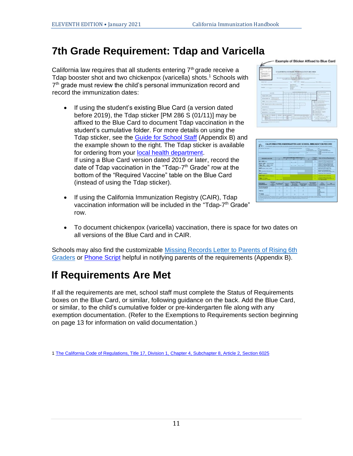### **7th Grade Requirement: Tdap and Varicella**

California law requires that all students entering  $7<sup>th</sup>$  grade receive a Tdap booster shot and two chickenpox (varicella) shots.<sup>1</sup> Schools with 7<sup>th</sup> grade must review the child's personal immunization record and record the immunization dates:

- If using the student's existing Blue Card (a version dated before 2019), the Tdap sticker [PM 286 S (01/11)] may be affixed to the Blue Card to document Tdap vaccination in the student's cumulative folder. For more details on using the Tdap sticker, see the Guide [for School Staff](http://eziz.org/assets/docs/IMM-101ST.pdf) (Appendix B) and the example shown to the right. The Tdap sticker is available for ordering from your [local health department](https://www.cdph.ca.gov/Programs/CID/DCDC/Pages/Immunization/Local-Health-Department.aspx)[.](http://www.cdph.ca.gov/programs/immunize/Pages/CaliforniaLocalHealthDepartments.aspx) If using a Blue Card version dated 2019 or later, record the date of Tdap vaccination in the "Tdap-7<sup>th</sup> Grade" row at the bottom of the "Required Vaccine" table on the Blue Card (instead of using the Tdap sticker).
- If using the California Immunization Registry (CAIR), Tdap vaccination information will be included in the "Tdap-7<sup>th</sup> Grade" row.





• To document chickenpox (varicella) vaccination, there is space for two dates on all versions of the Blue Card and in CAIR.

Schools may also find the customizable Missing Records Letter to Parents of Rising 6th [Graders](http://eziz.org/assets/docs/shotsforschool/7thSchoolToParentLetter.doc) or [Phone Script](http://eziz.org/assets/docs/shotsforschool/SchoolToParentPhoneScript.doc) helpful in notifying parents of the requirements (Appendix B).

#### **If Requirements Are Met**

If all the requirements are met, school staff must complete the Status of Requirements boxes on the Blue Card, or similar, following guidance on the back. Add the Blue Card, or similar, to the child's cumulative folder or pre-kindergarten file along with any exemption documentation. (Refer to the Exemptions to Requirements section beginning on page 13 for information on valid documentation.)

[1 The California Code of Regulations, Title 17, Division 1, Chapter 4, Subchapter 8, Article 2,](http://eziz.org/assets/docs/IMM-1080.pdf) [Section 6025](http://eziz.org/assets/docs/IMM-1080.pdf)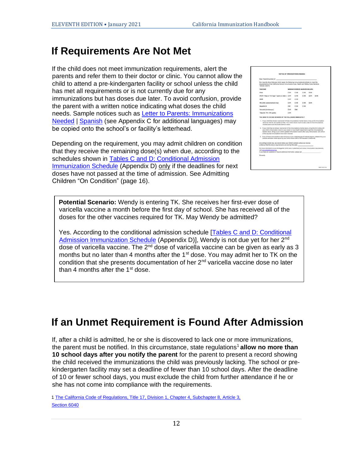#### **If Requirements Are Not Met**

If the child does not meet immunization requirements, alert the parents and refer them to their doctor or clinic. You cannot allow the child to attend a pre-kindergarten facility or school unless the child has met all requirements or is not currently due for any immunizations but has doses due later. To avoid confusion, provide the parent with a written notice indicating what doses the child needs. Sample notices such as [Letter to Parents:](http://eziz.org/assets/docs/IMM-1140.pdf) [Immunizations](http://eziz.org/assets/docs/IMM-1140.pdf)  [Needed](http://eziz.org/assets/docs/IMM-1140.pdf) | [Spanish](http://eziz.org/assets/docs/IMM-1140S.pdf) (see Appendix C for additional languages) may be copied onto the school's or facility's letterhead.

Depending on the requirement, you may admit children on condition that they receive the remaining dose(s) when due, according to the schedules shown in Tables C [and D: Conditional Admission](http://eziz.org/assets/docs/IMM-1080.pdf)  [Immunization Schedule](http://eziz.org/assets/docs/IMM-1080.pdf) [\(](http://eziz.org/assets/docs/IMM-1080_Conditional.pdf)Appendix D) only if the deadlines for next doses have not passed at the time of admission. See Admitting Children "On Condition" (page 16).

| Dear Parent/Guardian of:                                                                                                                                                                                                                                                                                                                                                                                                                                                                                                                                                                                                                           |                               |              |              |             |              |  |
|----------------------------------------------------------------------------------------------------------------------------------------------------------------------------------------------------------------------------------------------------------------------------------------------------------------------------------------------------------------------------------------------------------------------------------------------------------------------------------------------------------------------------------------------------------------------------------------------------------------------------------------------------|-------------------------------|--------------|--------------|-------------|--------------|--|
| Our records show that your child needs the following immunization(s) (shots) to meet the<br>requirements of the California School Immunization Law. Health and Safety Code Sections<br>120325-120375:                                                                                                                                                                                                                                                                                                                                                                                                                                              |                               |              |              |             |              |  |
| VACCINE                                                                                                                                                                                                                                                                                                                                                                                                                                                                                                                                                                                                                                            | MISSING DOSE(S) MARKED BELOW: |              |              |             |              |  |
| Police                                                                                                                                                                                                                                                                                                                                                                                                                                                                                                                                                                                                                                             | 12.81                         | $CD$ $M2$    | <b>CAD</b>   | <b>CL#4</b> |              |  |
| OTaP (Tdap or Td if age 7 years or older.) CJ #1                                                                                                                                                                                                                                                                                                                                                                                                                                                                                                                                                                                                   |                               | 0.82         | <b>CLASS</b> | 13,84       | <b>C1 85</b> |  |
| <b>MMR</b>                                                                                                                                                                                                                                                                                                                                                                                                                                                                                                                                                                                                                                         | <b>CL#1</b>                   | 182          |              |             |              |  |
| Hib (child care/preschool only)                                                                                                                                                                                                                                                                                                                                                                                                                                                                                                                                                                                                                    | 0.81                          | 0.02         | 743          | 17.64       |              |  |
| Hepatitis B                                                                                                                                                                                                                                                                                                                                                                                                                                                                                                                                                                                                                                        | CHE                           | <b>CB CI</b> | 17.83        |             |              |  |
| Varicella (chickenpox)                                                                                                                                                                                                                                                                                                                                                                                                                                                                                                                                                                                                                             | <b>D.81</b>                   | $\square$ 92 |              |             |              |  |
| Tdap (for 7th-12th grade)                                                                                                                                                                                                                                                                                                                                                                                                                                                                                                                                                                                                                          | 7.81                          |              |              |             |              |  |
| YOU NEED TO DO ONE OR MORE OF THE FOLLOWING IMMEDIATELY:<br>1. If your child has already received all of these immunizations marked above, bring us the immunization<br>record so that we can update our files. Your child's record must include a date for the immunizations                                                                                                                                                                                                                                                                                                                                                                      |                               |              |              |             |              |  |
| checked above and the doctor's/clinic's name.<br>2. If your child has not giready received all of the immunizations marked above, bring this form along with<br>your child's immunization record to your doctor or local health department to get the immunization(s)<br>marked above. Bring us your child's updated immunization record after every immunization visit until all<br>of the required immunizations have been received.<br>3. If any of these invrunizations were not given to your child because of medical reasons, please bring us a<br>medical exemption letter signed by your child's doctor (MD or DO tearsed in California). |                               |              |              |             |              |  |
| According to state law, we cannot allow your child to attend unless we receive<br>evidence that the above requirements are met by this date:                                                                                                                                                                                                                                                                                                                                                                                                                                                                                                       |                               |              |              |             |              |  |
| For more information on pre-kindergarten (child care or preschool) and school immunization requirements,<br>yiel joodsmahatamat away Helv<br>If you have any questions or require additional information, please call                                                                                                                                                                                                                                                                                                                                                                                                                              |                               |              |              |             |              |  |
|                                                                                                                                                                                                                                                                                                                                                                                                                                                                                                                                                                                                                                                    |                               |              |              |             |              |  |

**Potential Scenario:** Wendy is entering TK. She receives her first-ever dose of varicella vaccine a month before the first day of school. She has received all of the doses for the other vaccines required for TK. May Wendy be admitted?

Yes. According to the conditional admission schedule [\[Tables C and D: Conditional](http://eziz.org/assets/docs/IMM-1080.pdf)  [Admission Immunization Schedule](http://eziz.org/assets/docs/IMM-1080.pdf) (Appendix D)], Wendy is not due yet for her 2<sup>nd</sup> dose of varicella vaccine. The  $2^{nd}$  dose of varicella vaccine can be given as early as 3 months but no later than 4 months after the 1<sup>st</sup> dose. You may admit her to TK on the condition that she presents documentation of her  $2<sup>nd</sup>$  varicella vaccine dose no later than 4 months after the  $1<sup>st</sup>$  dose.

## **If an Unmet Requirement is Found After Admission**

If, after a child is admitted, he or she is discovered to lack one or more immunizations, the parent must be notified. In this circumstance, state regulations<sup>1</sup> allow no more than **10 school days after you notify the parent** for the parent to present a record showing the child received the immunizations the child was previously lacking. The school or prekindergarten facility may set a deadline of fewer than 10 school days. After the deadline of 10 or fewer school days, you must exclude the child from further attendance if he or she has not come into compliance with the requirements.

[1 The California Code of Regulations, Title 17, Division 1, Chapter 4, Subchapter 8, Article 3,](http://eziz.org/assets/docs/IMM-1080.pdf)  [Section 6040](http://eziz.org/assets/docs/IMM-1080.pdf)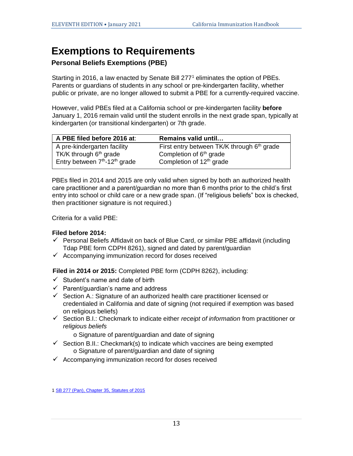#### **Exemptions to Requirements**

#### **Personal Beliefs Exemptions (PBE)**

Starting in 2016, a law enacted by Senate Bill 277<sup>1</sup> eliminates the option of PBEs. Parents or guardians of students in any school or pre-kindergarten facility, whether public or private, are no longer allowed to submit a PBE for a currently-required vaccine.

However, valid PBEs filed at a California school or pre-kindergarten facility **before** January 1, 2016 remain valid until the student enrolls in the next grade span, typically at kindergarten (or transitional kindergarten) or 7th grade.

| A PBE filed before 2016 at:                           | Remains valid until                                    |
|-------------------------------------------------------|--------------------------------------------------------|
| A pre-kindergarten facility                           | First entry between TK/K through 6 <sup>th</sup> grade |
| TK/K through $6th$ grade                              | Completion of 6 <sup>th</sup> grade                    |
| Entry between 7 <sup>th</sup> -12 <sup>th</sup> grade | Completion of 12 <sup>th</sup> grade                   |

PBEs filed in 2014 and 2015 are only valid when signed by both an authorized health care practitioner and a parent/guardian no more than 6 months prior to the child's first entry into school or child care or a new grade span. (If "religious beliefs" box is checked, then practitioner signature is not required.)

Criteria for a valid PBE:

#### **Filed before 2014:**

- $\checkmark$  Personal Beliefs Affidavit on back of Blue Card, or similar PBE affidavit (including Tdap PBE form CDPH 8261), signed and dated by parent/guardian
- $\checkmark$  Accompanying immunization record for doses received

**Filed in 2014 or 2015:** Completed PBE form (CDPH 8262), including:

- $\checkmark$  Student's name and date of birth
- ✓ Parent/guardian's name and address
- $\checkmark$  Section A.: Signature of an authorized health care practitioner licensed or credentialed in California and date of signing (not required if exemption was based on religious beliefs)
- ✓ Section B.I.: Checkmark to indicate either *receipt of information* from practitioner or *religious beliefs*
	- o Signature of parent/guardian and date of signing
- $\checkmark$  Section B.II.: Checkmark(s) to indicate which vaccines are being exempted o Signature of parent/guardian and date of signing
- $\checkmark$  Accompanying immunization record for doses received

[1 SB 277 \(Pan\), Chapter 35, Statutes of 2015](https://leginfo.legislature.ca.gov/faces/billNavClient.xhtml?bill_id=201520160SB277)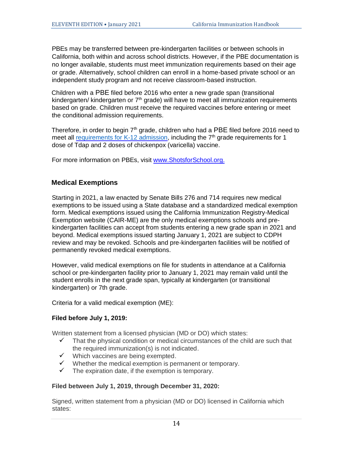PBEs may be transferred between pre-kindergarten facilities or between schools in California, both within and across school districts. However, if the PBE documentation is no longer available, students must meet immunization requirements based on their age or grade. Alternatively, school children can enroll in a home-based private school or an independent study program and not receive classroom-based instruction.

Children with a PBE filed before 2016 who enter a new grade span (transitional kindergarten/ kindergarten or 7<sup>th</sup> grade) will have to meet all immunization requirements based on grade. Children must receive the required vaccines before entering or meet the conditional admission requirements.

Therefore, in order to begin  $7<sup>th</sup>$  grade, children who had a PBE filed before 2016 need to meet all [requirements for K-12 admission,](https://www.shotsforschool.org/k-12/) including the  $7<sup>th</sup>$  grade requirements for 1 dose of Tdap and 2 doses of chickenpox (varicella) vaccine.

For more information on PBEs, visit [www.ShotsforSchool.org.](http://www.shotsforschool.org/) 

#### **Medical Exemptions**

Starting in 2021, a law enacted by Senate Bills 276 and 714 requires new medical exemptions to be issued using a State database and a standardized medical exemption form. Medical exemptions issued using the California Immunization Registry-Medical Exemption website (CAIR-ME) are the only medical exemptions schools and prekindergarten facilities can accept from students entering a new grade span in 2021 and beyond. Medical exemptions issued starting January 1, 2021 are subject to CDPH review and may be revoked. Schools and pre-kindergarten facilities will be notified of permanently revoked medical exemptions.

However, valid medical exemptions on file for students in attendance at a California school or pre-kindergarten facility prior to January 1, 2021 may remain valid until the student enrolls in the next grade span, typically at kindergarten (or transitional kindergarten) or 7th grade.

Criteria for a valid medical exemption (ME):

#### **Filed before July 1, 2019:**

Written statement from a licensed physician (MD or DO) which states:

- $\checkmark$  That the physical condition or medical circumstances of the child are such that the required immunization(s) is not indicated.
- ✓ Which vaccines are being exempted.
- $\checkmark$  Whether the medical exemption is permanent or temporary.
- $\checkmark$  The expiration date, if the exemption is temporary.

#### **Filed between July 1, 2019, through December 31, 2020:**

Signed, written statement from a physician (MD or DO) licensed in California which states: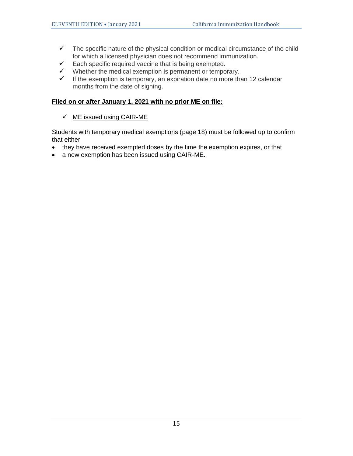- $\checkmark$  The specific nature of the physical condition or medical circumstance of the child for which a licensed physician does not recommend immunization.
- $\checkmark$  Each specific required vaccine that is being exempted.
- $\checkmark$  Whether the medical exemption is permanent or temporary.
- $\checkmark$  If the exemption is temporary, an expiration date no more than 12 calendar months from the date of signing.

#### **Filed on or after January 1, 2021 with no prior ME on file:**

#### $\checkmark$  ME issued using CAIR-ME

Students with temporary medical exemptions (page 18) must be followed up to confirm that either

- they have received exempted doses by the time the exemption expires, or that
- a new exemption has been issued using CAIR-ME.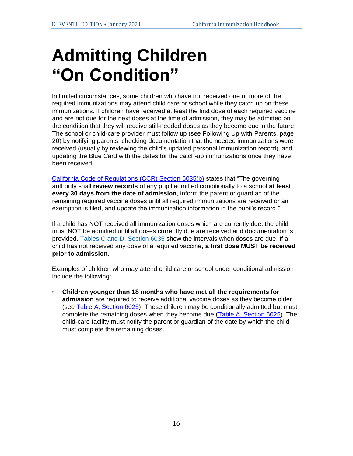## **Admitting Children "On Condition"**

In limited circumstances, some children who have not received one or more of the required immunizations may attend child care or school while they catch up on these immunizations. If children have received at least the first dose of each required vaccine and are not due for the next doses at the time of admission, they may be admitted on the condition that they will receive still-needed doses as they become due in the future. The school or child-care provider must follow up (see Following Up with Parents, page 20) by notifying parents, checking documentation that the needed immunizations were received (usually by reviewing the child's updated personal immunization record), and updating the Blue Card with the dates for the catch-up immunizations once they have been received.

[California Code of Regulations \(CCR\) Section 6035\(b\)](http://eziz.org/assets/docs/IMM-1080.pdf) states that "The governing authority shall **review records** of any pupil admitted conditionally to a school **at least every 30 days from the date of admission**, inform the parent or guardian of the remaining required vaccine doses until all required immunizations are received or an exemption is filed, and update the immunization information in the pupil's record."

If a child has NOT received all immunization doses which are currently due, the child must NOT be admitted until all doses currently due are received and documentation is provided[.](http://eziz.org/assets/docs/IMM-1080_Conditional.pdf) [Tables C and D, Section 6035](http://eziz.org/assets/docs/IMM-1080.pdf) show the intervals when doses are due. If a child has not received any dose of a required vaccine, **a first dose MUST be received prior to admission**.

Examples of children who may attend child care or school under conditional admission include the following:

• **Children younger than 18 months who have met all the requirements for admission** are required to receive additional vaccine doses as they become older (see [Table A, Section](http://eziz.org/assets/docs/IMM-1080.pdf) [6025\).](http://eziz.org/assets/docs/IMM-1080_ChildCare.pdf) These children may be conditionally admitted but must complete the remaining doses when they become due [\(Table A, Section 6](http://eziz.org/assets/docs/IMM-1080.pdf)02[5\).](http://eziz.org/assets/docs/IMM-1080_ChildCare.pdf) The child-care facility must notify the parent or guardian of the date by which the child must complete the remaining doses.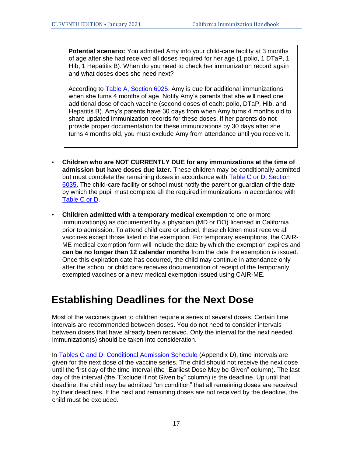**Potential scenario:** You admitted Amy into your child-care facility at 3 months of age after she had received all doses required for her age (1 polio, 1 DTaP, 1 Hib, 1 Hepatitis B). When do you need to check her immunization record again and what doses does she need next?

According to Table A, Section 6025, Amy is due for additional immunizations when she turns 4 months of age. Notify Amy's parents that she will need one additional dose of each vaccine (second doses of each: polio, DTaP, Hib, and Hepatitis B). Amy's parents have 30 days from when Amy turns 4 months old to share updated immunization records for these doses. If her parents do not provide proper documentation for these immunizations by 30 days after she turns 4 months old, you must exclude Amy from attendance until you receive it.

- **Children who are NOT CURRENTLY DUE for any immunizations at the time of admission but have doses due later.** These children may be conditionally admitted but must complete the remaining doses in accordance with [Table C or D, Section](http://eziz.org/assets/docs/IMM-1080.pdf)  [6035](http://eziz.org/assets/docs/IMM-1080.pdf)[.](http://eziz.org/assets/docs/IMM-1080_Conditional.pdf) The child-care facility or school must notify the parent or guardian of the date by which the pupil must complete all the required immunizations in accordance wit[h](http://eziz.org/assets/docs/IMM-1080_Conditional.pdf) [Table C](http://eziz.org/assets/docs/IMM-1080.pdf) or [D.](http://eziz.org/assets/docs/IMM-1080_Conditional.pdf)
- **Children admitted with a temporary medical exemption** to one or more immunization(s) as documented by a physician (MD or DO) licensed in California prior to admission. To attend child care or school, these children must receive all vaccines except those listed in the exemption. For temporary exemptions, the CAIR-ME medical exemption form will include the date by which the exemption expires and **can be no longer than 12 calendar months** from the date the exemption is issued. Once this expiration date has occurred, the child may continue in attendance only after the school or child care receives documentation of receipt of the temporarily exempted vaccines or a new medical exemption issued using CAIR-ME.

#### **Establishing Deadlines for the Next Dose**

Most of the vaccines given to children require a series of several doses. Certain time intervals are recommended between doses. You do not need to consider intervals between doses that have already been received. Only the interval for the next needed immunization(s) should be taken into consideration.

In Tables [C and D: Conditional Admission Schedule](http://eziz.org/assets/docs/IMM-1080.pdf) (Appendix D), time intervals are given for the next dose of the vaccine series. The child should not receive the next dose until the first day of the time interval (the "Earliest Dose May be Given" column). The last day of the interval (the "Exclude if not Given by" column) is the deadline. Up until that deadline, the child may be admitted "on condition" that all remaining doses are received by their deadlines. If the next and remaining doses are not received by the deadline, the child must be excluded.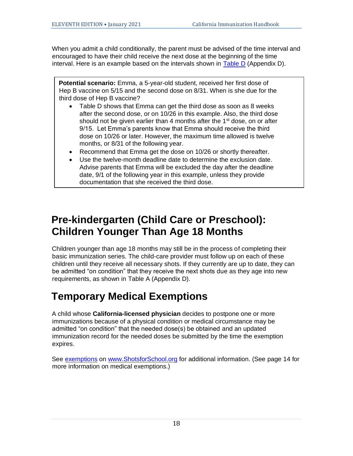When you admit a child conditionally, the parent must be advised of the time interval and encouraged to have their child receive the next dose at the beginning of the time interval. Here is an example based on the intervals shown in [Table](http://eziz.org/assets/docs/IMM-1080.pdf) [D](http://eziz.org/assets/docs/IMM-1080_Conditional.pdf) (Appendix D).

**Potential scenario:** Emma, a 5-year-old student, received her first dose of Hep B vaccine on 5/15 and the second dose on 8/31. When is she due for the third dose of Hep B vaccine?

- Table D shows that Emma can get the third dose as soon as 8 weeks after the second dose, or on 10/26 in this example. Also, the third dose should not be given earlier than 4 months after the  $1<sup>st</sup>$  dose, on or after 9/15. Let Emma's parents know that Emma should receive the third dose on 10/26 or later. However, the maximum time allowed is twelve months, or 8/31 of the following year.
- Recommend that Emma get the dose on 10/26 or shortly thereafter.
- Use the twelve-month deadline date to determine the exclusion date. Advise parents that Emma will be excluded the day after the deadline date, 9/1 of the following year in this example, unless they provide documentation that she received the third dose.

### **Pre-kindergarten (Child Care or Preschool): Children Younger Than Age 18 Months**

Children younger than age 18 months may still be in the process of completing their basic immunization series. The child-care provider must follow up on each of these children until they receive all necessary shots. If they currently are up to date, they can be admitted "on condition" that they receive the next shots due as they age into new requirements, as shown i[n](http://eziz.org/assets/docs/IMM-230.pdf) Table [A](http://eziz.org/assets/docs/IMM-230.pdf) (Appendix D).

## **Temporary Medical Exemptions**

A child whose **California-licensed physician** decides to postpone one or more immunizations because of a physical condition or medical circumstance may be admitted "on condition" that the needed dose(s) be obtained and an updated immunization record for the needed doses be submitted by the time the exemption expires.

See [exemptions](http://www.shotsforschool.org/laws/exemptions/) on [www.ShotsforSchool.org](http://www.shotsforschool.org/) for additional information. (See page 14 for more information on medical exemptions.)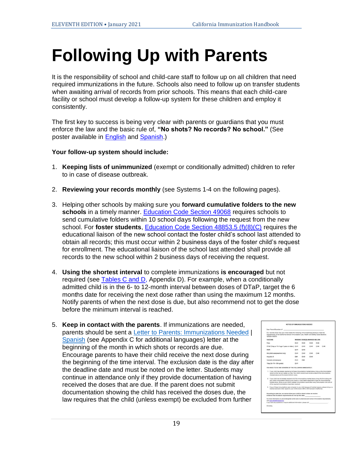## **Following Up with Parents**

It is the responsibility of school and child-care staff to follow up on all children that need required immunizations in the future. Schools also need to follow up on transfer students when awaiting arrival of records from prior schools. This means that each child-care facility or school must develop a follow-up system for these children and employ it consistently.

The first key to success is being very clear with parents or guardians that you must enforce the law and the basic rule of, **"No shots? No records? No school."** (See poster available in [English](http://eziz.org/assets/docs/IMM-1167.pdf) [a](http://eziz.org/assets/docs/IMM-1167.pdf)nd [Spanish.\)](http://eziz.org/assets/docs/IMM-1167S.pdf)

#### **Your follow-up system should include:**

- 1. **Keeping lists of unimmunized** (exempt or conditionally admitted) children to refer to in case of disease outbreak.
- 2. **Reviewing your records monthly** (see Systems 1-4 on the following pages).
- 3. Helping other schools by making sure you **forward cumulative folders to the new**  schools in a timely manner. [Education Code Section 49068](http://leginfo.legislature.ca.gov/faces/codes_displaySection.xhtml?sectionNum=49068.&lawCode=EDC) [r](http://www.cde.ca.gov/sp/ps/rq/psaffedcode.asp)equires schools to send cumulative folders within 10 school days following the request from the new school. For **foster students**, [Education Code Section 48853.5 \(f\)\(8\)\(C\)](https://leginfo.legislature.ca.gov/faces/codes_displaySection.xhtml?lawCode=EDC§ionNum=48853.5.) requires the educational liaison of the new school contact the foster child's school last attended to obtain all records; this must occur within 2 business days of the foster child's request for enrollment. The educational liaison of the school last attended shall provide all records to the new school within 2 business days of receiving the request.
- 4. **Using the shortest interval** to complete immunizations **is encouraged** but not required (see [Tables C](http://eziz.org/assets/docs/IMM-1080.pdf) and [D,](http://eziz.org/assets/docs/IMM-1080_Conditional.pdf) Appendix D). For example, when a conditionally admitted child is in the 6- to 12-month interval between doses of DTaP, target the 6 months date for receiving the next dose rather than using the maximum 12 months. Notify parents of when the next dose is due, but also recommend not to get the dose before the minimum interval is reached.
- 5. **Keep in contact with the parents**. If immunizations are needed, parents should be sent a [Letter to Parents: Immunizations Needed](http://eziz.org/assets/docs/IMM-1140.pdf) | [Spanish](http://eziz.org/assets/docs/IMM-1140S.pdf) (see Appendix C for additional languages) letter at the beginning of the month in which shots or records are due. Encourage parents to have their child receive the next dose during the beginning of the time interval. The exclusion date is the day after the deadline date and must be noted on the letter. Students may continue in attendance only if they provide documentation of having received the doses that are due. If the parent does not submit documentation showing the child has received the doses due, the law requires that the child (unless exempt) be excluded from further

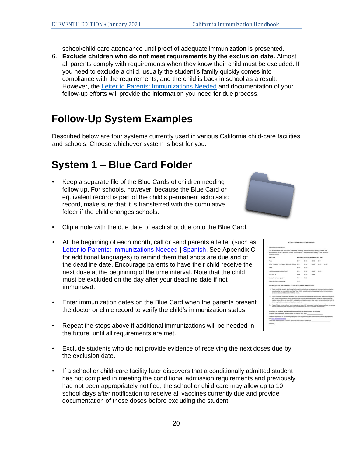school/child care attendance until proof of adequate immunization is presented.

6. **Exclude children who do not meet requirements by the exclusion date.** Almost all parents comply with requirements when they know their child must be excluded. If you need to exclude a child, usually the student's family quickly comes into compliance with the requirements, and the child is back in school as a result. However, the Letter to Parents: [Immunizations Needed](https://eziz.org/assets/docs/IMM-1140.pdf) and documentation of your follow-up efforts will provide the information you need for due process.

### **Follow-Up System Examples**

Described below are four systems currently used in various California child-care facilities and schools. Choose whichever system is best for you.

### **System 1 – Blue Card Folder**

• Keep a separate file of the Blue Cards of children needing follow up. For schools, however, because the Blue Card or equivalent record is part of the child's permanent scholastic record, make sure that it is transferred with the cumulative folder if the child changes schools.



- Clip a note with the due date of each shot due onto the Blue Card.
- At the beginning of each month, call or send parents a letter (such as [Letter to Parents:](http://eziz.org/assets/docs/IMM-1140.pdf) [Immunizations Needed](http://eziz.org/assets/docs/IMM-1140.pdf) | [Spanish.](http://eziz.org/assets/docs/IMM-1140S.pdf) See Appendix C for additional languages) to remind them that shots are due and of the deadline date. Encourage parents to have their child receive the next dose at the beginning of the time interval. Note that the child must be excluded on the day after your deadline date if not immunized.
- Enter immunization dates on the Blue Card when the parents present the doctor or clinic record to verify the child's immunization status.
- Repeat the steps above if additional immunizations will be needed in the future, until all requirements are met.
- Exclude students who do not provide evidence of receiving the next doses due by the exclusion date.
- If a school or child-care facility later discovers that a conditionally admitted student has not complied in meeting the conditional admission requirements and previously had not been appropriately notified, the school or child care may allow up to 10 school days after notification to receive all vaccines currently due and provide documentation of these doses before excluding the student.

|       | Dear Parent/Guardian of:                                                                                                                                                                                                                                                                                                                                                              |                               |             |             |              |             |
|-------|---------------------------------------------------------------------------------------------------------------------------------------------------------------------------------------------------------------------------------------------------------------------------------------------------------------------------------------------------------------------------------------|-------------------------------|-------------|-------------|--------------|-------------|
|       | Our records show that your child needs the following immunization(s) (shots) to meet the<br>requirements of the California School Immunization Law, Health and Safety Code Sections<br>120325-120375                                                                                                                                                                                  |                               |             |             |              |             |
|       | <b>VACCINE</b>                                                                                                                                                                                                                                                                                                                                                                        | MISSING DOSE(S) MARKED BELOW: |             |             |              |             |
| Polio |                                                                                                                                                                                                                                                                                                                                                                                       | 12.81                         | (2.80)      | <b>D.43</b> | 13,64        |             |
|       | OTaP (Tdap or Td if age 7 years or older.) D #1                                                                                                                                                                                                                                                                                                                                       |                               | <b>D.82</b> | <b>D.83</b> | <b>DI #4</b> | <b>D #5</b> |
| MMR   |                                                                                                                                                                                                                                                                                                                                                                                       | 191                           | 0.02        |             |              |             |
|       | Hib (child care/preschool only)                                                                                                                                                                                                                                                                                                                                                       | <b>CL#1</b>                   | 787         | D 49        | <b>CL#4</b>  |             |
|       | Haziatitis B.                                                                                                                                                                                                                                                                                                                                                                         | <b>C#1</b>                    | <b>D.82</b> | <b>CL#3</b> |              |             |
|       | Variosfia (chickenpox)                                                                                                                                                                                                                                                                                                                                                                | <b>C2 811</b>                 | CM2         |             |              |             |
|       | Tdap (for 7th-12th grade)                                                                                                                                                                                                                                                                                                                                                             | C1.81                         |             |             |              |             |
|       | 1. If your child has already received all of these intrustications marked above, bring us the inmunication<br>record as that we can update our files. Your child's record must include a date for the immunizations.<br>checked above and the doctor alcohols name.                                                                                                                   |                               |             |             |              |             |
|       | 2. If your child has not already received all of the immunizations marked above, bring this form along with<br>your child's immunization record to your doctor or local health department to get the immunization(a)<br>marked above. Bring us your child's updated immunization record after every immunization visit until all<br>of the required immunizations have been received. |                               |             |             |              |             |
|       |                                                                                                                                                                                                                                                                                                                                                                                       |                               |             |             |              |             |
|       | 3. If any of these inveurizations were not given to your child because of medical resears, please bring us a<br>medical exemption letter signed by your child's doctor (MD or DO licensed in California).                                                                                                                                                                             |                               |             |             |              |             |
|       | According to state low, we cannot aftew your child to attend unless we receive<br>avidence that the above requirements are met by this date:                                                                                                                                                                                                                                          |                               |             |             |              |             |
|       | For more information on pre-kinderparten (child care or preschool) and echool immunization requirements,<br>yes hockettetytte www.field.                                                                                                                                                                                                                                              |                               |             |             |              |             |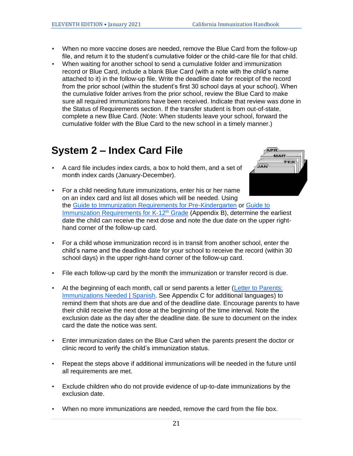- When no more vaccine doses are needed, remove the Blue Card from the follow-up file, and return it to the student's cumulative folder or the child-care file for that child.
- When waiting for another school to send a cumulative folder and immunization record or Blue Card, include a blank Blue Card (with a note with the child's name attached to it) in the follow-up file. Write the deadline date for receipt of the record from the prior school (within the student's first 30 school days at your school). When the cumulative folder arrives from the prior school, review the Blue Card to make sure all required immunizations have been received. Indicate that review was done in the Status of Requirements section. If the transfer student is from out-of-state, complete a new Blue Card. (Note: When students leave your school, forward the cumulative folder with the Blue Card to the new school in a timely manner.)

### **System 2 – Index Card File**

• A card file includes index cards, a box to hold them, and a set of month index cards (January-December).



- For a child needing future immunizations, enter his or her name on an index card and list all doses which will be needed. Using the Guide to [Immunization Requirements for Pre-Kindergarten](http://eziz.org/assets/docs/IMM-230.pdf) or [Guide to](http://eziz.org/assets/docs/IMM-231.pdf) [Immunization Requirements for](http://eziz.org/assets/docs/IMM-231.pdf) K-12<sup>th</sup> Grad[e](http://eziz.org/assets/docs/IMM-231.pdf) (Appendix B), determine the earliest date the child can receive the next dose and note the due date on the upper righthand corner of the follow-up card.
- For a child whose immunization record is in transit from another school, enter the child's name and the deadline date for your school to receive the record (within 30 school days) in the upper right-hand corner of the follow-up card.
- File each follow-up card by the month the immunization or transfer record is due.
- At the beginning of each month, call or send parents a letter (Letter to Parents: [Immunizations Needed](http://eziz.org/assets/docs/IMM-1140.pdf) | [Spanish.](http://eziz.org/assets/docs/IMM-1140S.pdf) See Appendix C for additional languages) to remind them that shots are due and of the deadline date. Encourage parents to have their child receive the next dose at the beginning of the time interval. Note the exclusion date as the day after the deadline date. Be sure to document on the index card the date the notice was sent.
- Enter immunization dates on the Blue Card when the parents present the doctor or clinic record to verify the child's immunization status.
- Repeat the steps above if additional immunizations will be needed in the future until all requirements are met.
- Exclude children who do not provide evidence of up-to-date immunizations by the exclusion date.
- When no more immunizations are needed, remove the card from the file box.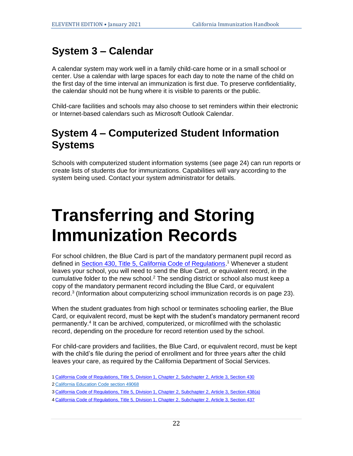### **System 3 – Calendar**

A calendar system may work well in a family child-care home or in a small school or center. Use a calendar with large spaces for each day to note the name of the child on the first day of the time interval an immunization is first due. To preserve confidentiality, the calendar should not be hung where it is visible to parents or the public.

Child-care facilities and schools may also choose to set reminders within their electronic or Internet-based calendars such as Microsoft Outlook Calendar.

### **System 4 – Computerized Student Information Systems**

Schools with computerized student information systems (see page 24) can run reports or create lists of students due for immunizations. Capabilities will vary according to the system being used. Contact your system administrator for details.

## **Transferring and Storing Immunization Records**

For school children, the Blue Card is part of the mandatory permanent pupil record as defined in **Section 430, Title 5, California Code of Regulations**.<sup>1</sup> Whenever a student leaves your school, you will need to send the Blue Card, or equivalent record, in the cumulative folder to the new school.<sup>2</sup> The sending district or school also must keep a copy of the mandatory permanent record including the Blue Card, or equivalent record.<sup>3</sup> (Information about computerizing school immunization records is on page 23).

When the student graduates from high school or terminates schooling earlier, the Blue Card, or equivalent record, must be kept with the student's mandatory permanent record permanently. 4 It can be archived, computerized, or microfilmed with the scholastic record, depending on the procedure for record retention used by the school.

For child-care providers and facilities, the Blue Card, or equivalent record, must be kept with the child's file during the period of enrollment and for three years after the child leaves your care, as required by the California Department of Social Services.

- 1 [California Code of Regulations, Title 5, Division 1, Chapter 2, Subchapter 2, Article 3, Section 430](https://govt.westlaw.com/calregs/Document/IAC93F8C0D47E11DEBC02831C6D6C108E?viewType=FullText&originationContext=documenttoc&transitionType=CategoryPageItem&contextData=(sc.Default))
- 2 [California Education Code section 49068](http://leginfo.legislature.ca.gov/faces/codes_displaySection.xhtml?sectionNum=49068.&lawCode=EDC)
- 3 [California Code of Regulations, Title 5, Division 1, Chapter 2, Subchapter 2, Article 3, Section 438\(a\)](https://govt.westlaw.com/calregs/Document/I7041F790FA2C11DE8C6E96BC63A3F6F5?viewType=FullText&originationContext=documenttoc&transitionType=CategoryPageItem&contextData=(sc.Default))
- 4 [California Code of Regulations, Title 5, Division 1, Chapter 2, Subchapter 2, Article 3, Section 437](https://govt.westlaw.com/calregs/Document/I6FFB51A0FA2C11DE8C6E96BC63A3F6F5?viewType=FullText&originationContext=documenttoc&transitionType=CategoryPageItem&contextData=(sc.Default))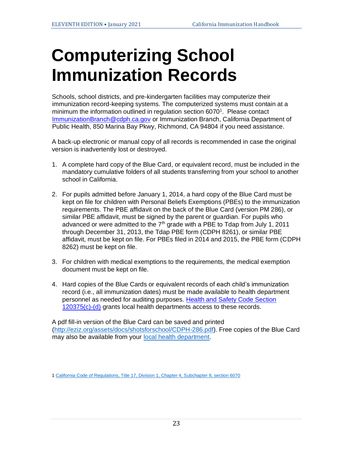## **Computerizing School Immunization Records**

Schools, school districts, and pre-kindergarten facilities may computerize their immunization record-keeping systems. The computerized systems must contain at a minimum the information outlined in regulation section 6070<sup>1</sup>. Please contact ImmunizationBranch@cdph.ca.gov or Immunization Branch, California Department of Public Health, 850 Marina Bay Pkwy, Richmond, CA 94804 if you need assistance.

A back-up electronic or manual copy of all records is recommended in case the original version is inadvertently lost or destroyed.

- 1. A complete hard copy of the Blue Card, or equivalent record, must be included in the mandatory cumulative folders of all students transferring from your school to another school in California.
- 2. For pupils admitted before January 1, 2014, a hard copy of the Blue Card must be kept on file for children with Personal Beliefs Exemptions (PBEs) to the immunization requirements. The PBE affidavit on the back of the Blue Card (version PM 286), or similar PBE affidavit, must be signed by the parent or guardian. For pupils who advanced or were admitted to the  $7<sup>th</sup>$  grade with a PBE to Tdap from July 1, 2011 through December 31, 2013, the Tdap PBE form (CDPH 8261), or similar PBE affidavit, must be kept on file. For PBEs filed in 2014 and 2015, the PBE form (CDPH 8262) must be kept on file.
- 3. For children with medical exemptions to the requirements, the medical exemption document must be kept on file.
- 4. Hard copies of the Blue Cards or equivalent records of each child's immunization record (i.e., all immunization dates) must be made available to health department personnel as needed for auditing purposes[.](http://www.leginfo.ca.gov/cgi-bin/displaycode?section=hsc&group=120001-121000&file=120325-120380) [Health and Safety Code Section](https://leginfo.legislature.ca.gov/faces/codes_displayText.xhtml?lawCode=HSC&division=105.&title=&part=2.&chapter=1.&article)  [120375\(c\)](https://leginfo.legislature.ca.gov/faces/codes_displayText.xhtml?lawCode=HSC&division=105.&title=&part=2.&chapter=1.&article)[-\(d\)](http://www.leginfo.ca.gov/cgi-bin/displaycode?section=hsc&group=120001-121000&file=120325-120380) grants local health departments access to these records.

A pdf fill-in version of the Blue Card can be saved and printed [\(http://eziz.org/assets/docs/shotsforschool/CDPH-286.pdf\)](http://eziz.org/assets/docs/shotsforschool/CDPH-286.pdf). Free copies of the Blue Card may also be available from your [local health department.](https://www.cdph.ca.gov/Programs/CID/DCDC/Pages/Immunization/Local-Health-Department.aspx)

[<sup>1</sup> California Code of Regulations, Title 17, Division 1, Chapter 4, Subchapter 8, section 6070](https://govt.westlaw.com/calregs/Document/I1230E6BB0BD14E729E51C03574FFA61D?originationContext=Search+Result&listSource=Search&viewType=FullText&navigationPath=Search%2fv3%2fsearch%2fresults%2fnavigation%2fi0ad7140a00000166d5a06490921f7711%3fstartIndex%3d1%26Nav%3dREGULATION_PUBLICVIEW%26contextData%3d(sc.Default)&rank=1&list=REGULATION_PUBLICVIEW&transitionType=SearchItem&contextData=(sc.Search)&t_T1=17&t_T2=6070&t_S1=CA+ADC+s)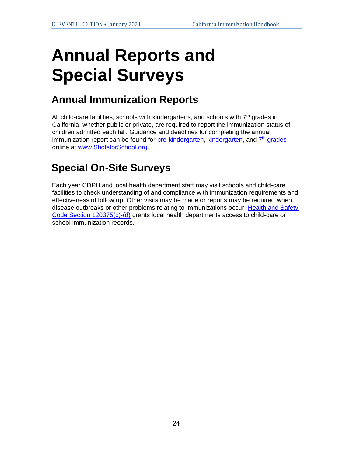## **Annual Reports and Special Surveys**

### **Annual Immunization Reports**

All child-care facilities, schools with kindergartens, and schools with  $7<sup>th</sup>$  grades in California, whether public or private, are required to report the immunization status of children admitted each fall. Guidance and deadlines for completing the annual immunization report can be found for [pre-kindergarten](http://reporting.shotsforschool.org/CC/login.aspx)[,](http://www.calkidshots.org/sa/login.aspx) [kindergarten](http://reporting.shotsforschool.org/KG/login.aspx), and [7](http://www.calkidshots.org/mh/login.aspx)<sup>[th](http://www.calkidshots.org/mh/login.aspx)</sup> [grades](http://reporting.shotsforschool.org/7th/login.aspx) online at [www.ShotsforSchool.org.](http://www.shotsforschool.org/)

## **Special On-Site Surveys**

Each year CDPH and local health department staff may visit schools and child-care facilities to check understanding of and compliance with immunization requirements and effectiveness of follow up. Other visits may be made or reports may be required when disease outbreaks or other problems relating to immunizations occur. [Health and Safety](http://www.leginfo.ca.gov/cgi-bin/displaycode?section=hsc&group=120001-121000&file=120325-120380)  [Code](http://www.leginfo.ca.gov/cgi-bin/displaycode?section=hsc&group=120001-121000&file=120325-120380) [Section 120375\(c\)](https://leginfo.legislature.ca.gov/faces/codes_displayText.xhtml?lawCode=HSC&division=105.&title=&part=2.&chapter=1.&article)[-\(d\)](http://www.leginfo.ca.gov/cgi-bin/displaycode?section=hsc&group=120001-121000&file=120325-120380) grants local health departments access to child-care or school immunization records.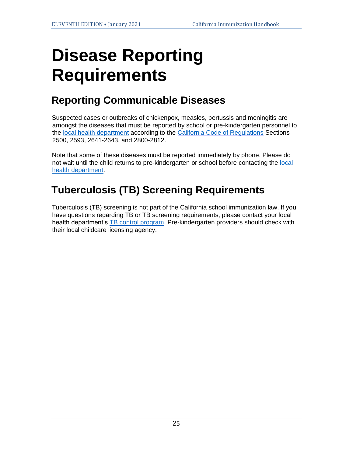## **Disease Reporting Requirements**

## **Reporting Communicable Diseases**

Suspected cases or outbreaks of chickenpox, measles, pertussis and meningitis are amongst the diseases that must be reported by school or pre-kindergarten personnel to the [local health department](https://www.cdph.ca.gov/Programs/CID/DCDC/Pages/Immunization/Local-Health-Department.aspx) according to the [California Code of Regulations](https://www.cdph.ca.gov/Programs/CID/DCDC/CDPH%20Document%20Library/ReportableDiseases.pdf) Section[s](http://www.cdph.ca.gov/HealthInfo/Documents/Reportable_Diseases_Conditions.pdf) 2500, 2593, 2641-2643, and 280[0-2](http://www.cdph.ca.gov/HealthInfo/Documents/Reportable_Diseases_Conditions.pdf)812.

Note that some of these diseases must be reported immediately by phone. Please do not wait until the child returns to pre-kindergarten or school before contacting the [local](https://www.cdph.ca.gov/Programs/CID/DCDC/Pages/Immunization/Local-Health-Department.aspx)  [health department.](https://www.cdph.ca.gov/Programs/CID/DCDC/Pages/Immunization/Local-Health-Department.aspx)

## **Tuberculosis (TB) Screening Requirements**

Tuberculosis (TB) screening is not part of the California school immunization law. If you have questions regarding TB or TB screening requirements, please contact your local health department's [TB control program.](https://ctca.org/wp-content/uploads/CTCA-Directory.pdf) Pre-kindergarten providers should check with their local childcare licensing agency.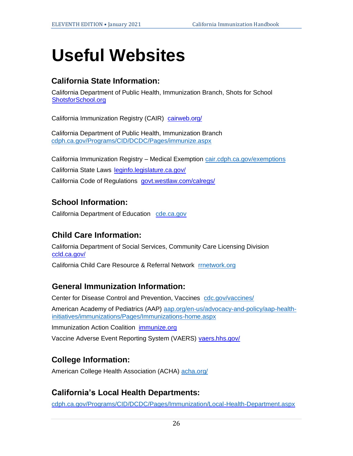## **Useful Websites**

#### **California State Information:**

California Department of Public Health, Immunization Branch, Shots for School [ShotsforSchool.org](http://www.shotsforschool.org/)

California Immunization Registry (CAIR) [cairweb.org/](http://cairweb.org/)

California Department of Public Health, Immunization Branch [cdph.ca.gov/Programs/CID/DCDC/Pages/immunize.aspx](http://www.cdph.ca.gov/Programs/CID/DCDC/Pages/immunize.aspx) 

California Immunization Registry – Medical Exemption [cair.cdph.ca.gov/exemptions](http://cair.cdph.ca.gov/exemptions) California State Laws [leginfo.legislature.ca.gov/](http://leginfo.legislature.ca.gov/) California Code of Regulations [govt.westlaw.com/calregs/](https://govt.westlaw.com/calregs/)

#### **School Information:**

California Department of Education [cde.ca.gov](http://www.cde.ca.gov/)

#### **Child Care Information:**

California Department of Social Services, Community Care Licensing Division [ccld.ca.gov/](http://www.ccld.ca.gov/)

California Child Care Resource & Referral Network [rrnetwork.org](http://www.rrnetwork.org/)

#### **General Immunization Information:**

Center for Disease Control and Prevention, Vaccines [cdc.gov/vaccines/](http://www.cdc.gov/vaccines/)

American Academy of Pediatrics (AAP) [aap.org/en-us/advocacy-and-policy/aap-health](https://www.aap.org/en-us/advocacy-and-policy/aap-health-initiatives/immunizations/Pages/Immunizations-home.aspx)[initiatives/immunizations/Pages/Immunizations-home.aspx](https://www.aap.org/en-us/advocacy-and-policy/aap-health-initiatives/immunizations/Pages/Immunizations-home.aspx)

Immunization Action Coalition [immunize.org](http://www.immunize.org/)

Vaccine Adverse Event Reporting System (VAERS) [vaers.hhs.gov/](https://vaers.hhs.gov/)

#### **College Information:**

American College Health Association (ACHA) [acha.org/](http://www.acha.org/)

#### **California's Local Health Departments:**

[cdph.ca.gov/Programs/CID/DCDC/Pages/Immunization/Local-Health-Department.aspx](https://www.cdph.ca.gov/Programs/CID/DCDC/Pages/Immunization/Local-Health-Department.aspx)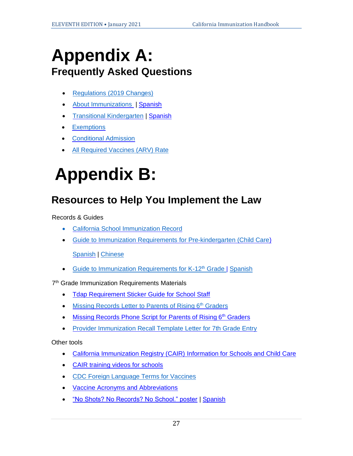## **Appendix A: Frequently Asked Questions**

- [Regulations \(2019 Changes\)](https://www.shotsforschool.org/laws/regs2019/)
- **[About Immunizations](https://www.shotsforschool.org/laws/immunizations/) [|](http://www.shotsforschool.org/frequently-asked-questions/) [Spanish](http://www.shotsforschool.org/espanol/espanol-preguntas/)**
- [Transitional Kindergarten](http://www.shotsforschool.org/k-12/transitional-k/) | [Spanish](http://www.shotsforschool.org/espanol/faq-for-transition-kindergarten-spanish/)
- [Exemptions](https://www.shotsforschool.org/laws/exemptions/)
- [Conditional Admission](https://www.shotsforschool.org/laws/conditional-admission/)
- All [Required Vaccines](https://www.shotsforschool.org/k-12/arv-rate/) (ARV) Rate

## **Appendix B:**

### **Resources to Help You Implement the Law**

Records & Guides

- [California School Immunization Record](http://eziz.org/assets/docs/shotsforschool/CDPH-286.pdf)
- [Guide to Immunization Requirements](http://eziz.org/assets/docs/IMM-230.pdf) for Pre-kindergarten (Child Care)

[Spanish](http://eziz.org/assets/docs/IMM-230S.pdf) | [Chinese](https://eziz.org/assets/docs/shotsforschool/IMM-230CH.pdf)

• [Guide to Immunization Requirements for K-12](http://eziz.org/assets/docs/IMM-231.pdf)<sup>th</sup> Grade | [Spanish](http://eziz.org/assets/docs/IMM-231S.pdf)

7<sup>th</sup> Grade Immunization Requirements Materials

- [Tdap Requirement Sticker Guide for School Staff](http://eziz.org/assets/docs/IMM-101ST.pdf)
- [Missing Records Letter to Parents of Rising 6](http://eziz.org/assets/docs/shotsforschool/7thSchoolToParentLetter.doc)<[s](http://eziz.org/assets/docs/shotsforschool/SchoolToParentLetterTemplate.doc)up>th</sup> Graders
- [Missing Records Phone Script for Parents of Rising 6](http://eziz.org/assets/docs/shotsforschool/SchoolToParentPhoneScript.doc)<[s](http://eziz.org/assets/docs/shotsforschool/SchoolToParentPhoneScript.doc)up>th</sup> Graders
- [Provider Immunization Recall Template Letter for 7th Grade Entry](http://eziz.org/assets/docs/shotsforschool/7thProviderTdapRecallLetterTemplate.doc)

Other tools

- [California Immunization Registry \(CAIR\)](http://cairweb.org/images/docs/IMM-938.pdf) [Information for Schools and Child Care](http://cairweb.org/images/docs/IMM-938.pdf)
- CAIR training [videos for schools](https://www.youtube.com/watch?v=_UHSVhpYVaA&feature=youtu.be)
- [CDC Foreign Language Terms for Vaccines](https://www.cdc.gov/vaccines/pubs/pinkbook/downloads/appendices/B/foreign-products-tables.pdf)
- [Vaccine Acronyms and Abbreviations](http://eziz.org/assets/docs/IMM-895.pdf)
- ["No Shots? No Records? No School." poster](http://eziz.org/assets/docs/IMM-1167.pdf) | [Spanish](http://eziz.org/assets/docs/IMM-1167S.pdf)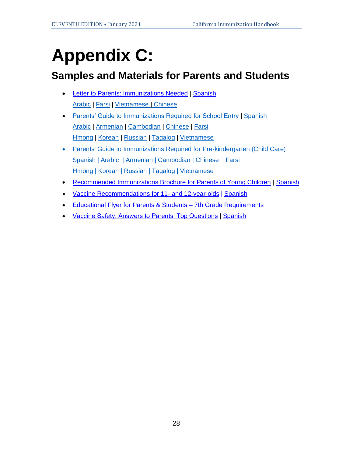## **Appendix C:**

### **Samples and Materials for Parents and Students**

- [Letter to Parents: Immunizations Needed](http://eziz.org/assets/docs/IMM-1140.pdf) | [Spanish](http://eziz.org/assets/docs/IMM-1140S.pdf) [Arabic](https://eziz.org/assets/docs/IMM-1140ARA.pdf) | [Farsi](https://eziz.org/assets/docs/IMM-1140FAR.pdf) | [Vietnamese](https://eziz.org/assets/docs/IMM-1140VT.pdf) | [Chinese](https://eziz.org/assets/docs/IMM-1140CH.pdf)
- [Parents' Guide to Immunizations Required for School Entry](http://eziz.org/assets/docs/IMM-222School.pdf) | [Spanish](http://eziz.org/assets/docs/IMM-222S_School.pdf) [Arabic](https://eziz.org/assets/docs/shotsforschool/IMM-222School-ARA.pdf) | [Armenian](https://eziz.org/assets/docs/shotsforschool/IMM-222School-ARM.pdf) | [Cambodian](https://eziz.org/assets/docs/shotsforschool/IMM-222School-CAM.pdf) | [Chinese](https://eziz.org/assets/docs/shotsforschool/IMM-222School-CH.pdf) | [Farsi](https://eziz.org/assets/docs/shotsforschool/IMM-222School-FAR.pdf) [Hmong](http://eziz.org/assets/docs/shotsforschool/IMM-222School-HM.pdf) | [Korean](https://eziz.org/assets/docs/shotsforschool/IMM-222School-KOR.pdf) | [Russian](https://eziz.org/assets/docs/shotsforschool/IMM-222School-RU.pdf) | [Tagalog](https://eziz.org/assets/docs/shotsforschool/IMM-222School-TAG.pdf) | [Vietnamese](https://eziz.org/assets/docs/shotsforschool/IMM-222School-VT.pdf)
- Parents' Guide to [Immunizations Required for Pre-kindergarten \(Child Care\)](http://eziz.org/assets/docs/IMM-222ChildCare.pdf) [Spanish](http://eziz.org/assets/docs/IMM-222S_ChildCare.pdf) | [Arabic](https://eziz.org/assets/docs/shotsforschool/IMM-222ChildCare-ARA.pdf) | [Armenian](https://eziz.org/assets/docs/shotsforschool/IMM-222ChildCare-ARM.pdf) | [Cambodian](https://eziz.org/assets/docs/shotsforschool/IMM-222ChildCare-CAM.pdf) | [Chinese](https://eziz.org/assets/docs/shotsforschool/IMM-222ChildCare-CH.pdf) | [Farsi](https://eziz.org/assets/docs/shotsforschool/IMM-222ChildCare-FAR.pdf) [Hmong](https://eziz.org/assets/docs/shotsforschool/IMM-222ChildCare-HM.pdf) | [Korean](https://eziz.org/assets/docs/shotsforschool/IMM-222ChildCare-KOR.pdf) | [Russian](https://eziz.org/assets/docs/shotsforschool/IMM-222ChildCare-RU.pdf) | [Tagalog](https://eziz.org/assets/docs/shotsforschool/IMM-222ChildCare-TAG.pdf) | [Vietnamese](https://eziz.org/assets/docs/shotsforschool/IMM-222ChildCare-VT.pdf)
- [Recommended Immunizations Brochure for Parents of Young Children](http://eziz.org/assets/docs/IMM-234.pdf) [|](http://eziz.org/assets/docs/IMM-234.pdf) [Spanish](http://eziz.org/assets/docs/IMM-234S.pdf)
- [Vaccine Recommendations for 11-](http://eziz.org/assets/docs/IMM-1054.pdf) [and 12-year-olds](http://eziz.org/assets/docs/IMM-1054.pdf) [|](http://eziz.org/assets/docs/IMM-1054.pdf) [Spanish](http://eziz.org/assets/docs/IMM-1054S.pdf)
- [Educational Flyer for Parents & Students –](http://eziz.org/assets/docs/IMM-1039.pdf) 7th Grade Requirement[s](http://eziz.org/assets/docs/IMM-1039.pdf)
- [Vaccine Safety: Answers to Parents' Top Questions](http://eziz.org/assets/docs/IMM-916.pdf) | [Spanish](http://eziz.org/assets/docs/IMM-916S.pdf)